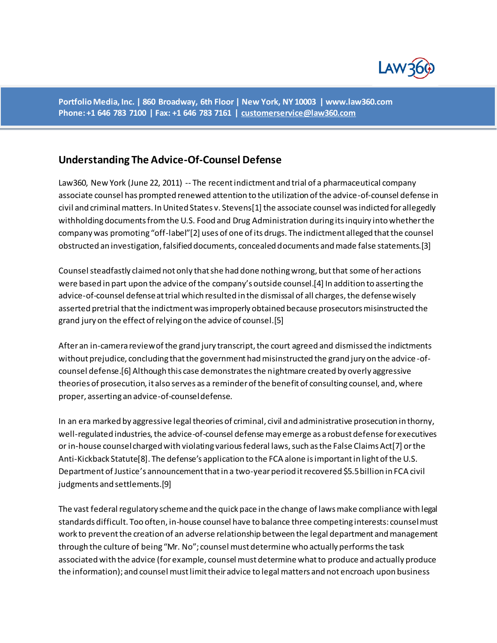

**Portfolio Media, Inc. | 860 Broadway, 6th Floor | New York, NY 10003 | www.law360.com Phone: +1 646 783 7100 | Fax: +1 646 783 7161 [| customerservice@law360.com](mailto:customerservice@law360.com)**

# **Understanding The Advice-Of-Counsel Defense**

Law360, New York (June 22, 2011) -- The recent indictment and trial of a pharmaceutical company associate counsel has prompted renewed attention to the utilization of the advice-of-counsel defense in civil and criminal matters. In United States v. Stevens[1] the associate counsel was indicted for allegedly withholding documents from the U.S. Food and Drug Administration during its inquiry into whether the company was promoting "off-label"[2] uses of one of its drugs. The indictment alleged that the counsel obstructed an investigation, falsified documents, concealed documents and made false statements.[3]

Counsel steadfastly claimed not only that she had done nothing wrong, but that some of her actions were based in part upon the advice of the company's outside counsel.[4] In addition to asserting the advice-of-counsel defense at trial which resulted in the dismissal of all charges, the defense wisely asserted pretrial that the indictment was improperly obtained because prosecutors misinstructed the grand jury on the effect of relying on the advice of counsel.[5]

After an in-camera review of the grand jury transcript, the court agreed and dismissed the indictments without prejudice, concluding that the government had misinstructed the grand jury on the advice -ofcounsel defense.[6] Although this case demonstrates the nightmare created by overly aggressive theories of prosecution, it also serves as a reminder of the benefit of consulting counsel, and, where proper, asserting an advice-of-counsel defense.

In an era marked by aggressive legal theories of criminal, civil and administrative prosecution in thorny, well-regulated industries, the advice-of-counsel defense may emerge as a robust defense for executives or in-house counsel charged with violating various federal laws, such as the False Claims Act[7] or the Anti-Kickback Statute[8]. The defense's application to the FCA alone is important in light of the U.S. Department of Justice's announcement that in a two-year period it recovered \$5.5 billion in FCA civil judgments and settlements.[9]

The vast federal regulatory scheme and the quick pace in the change of laws make compliance with legal standards difficult. Too often, in-house counsel have to balance three competing interests: counsel must work to prevent the creation of an adverse relationship between the legal department and management through the culture of being "Mr. No"; counsel must determine who actually performs the task associated with the advice (for example, counsel must determine what to produce and actually produce the information); and counsel must limit their advice to legal matters and not encroach upon business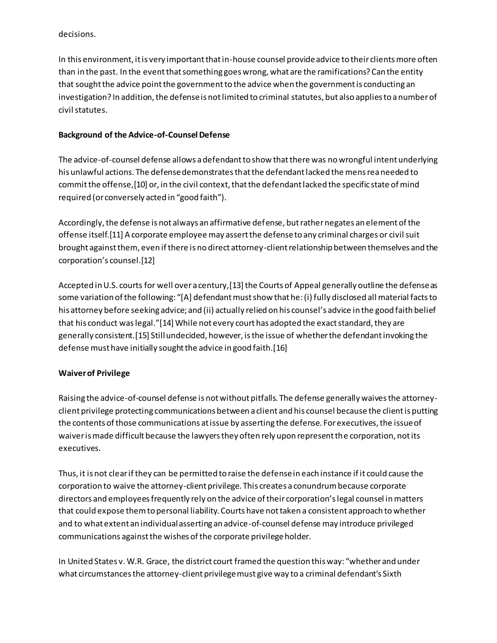decisions.

In this environment, it is very important that in-house counsel provide advice to their clients more often than in the past. In the event that something goes wrong, what are the ramifications? Can the entity that sought the advice point the government to the advice when the government is conducting an investigation? In addition, the defense is not limited to criminal statutes, but also applies to a number of civil statutes.

# **Background of the Advice-of-Counsel Defense**

The advice-of-counsel defense allows a defendant to show that there was no wrongful intent underlying his unlawful actions. The defense demonstrates that the defendant lacked the mens rea needed to commit the offense,[10] or, in the civil context, that the defendant lacked the specific state of mind required (or conversely acted in "good faith").

Accordingly, the defense is not always an affirmative defense, but rather negates an element of the offense itself.[11] A corporate employee may assert the defense to any criminal charges or civil suit brought against them, even if there is no direct attorney-client relationship between themselves and the corporation's counsel.<sup>[12]</sup>

Accepted in U.S. courts for well over a century,[13] the Courts of Appeal generally outline the defense as some variation of the following: "[A] defendant must show that he: (i) fully disclosed all material facts to his attorney before seeking advice; and (ii) actually relied on his counsel's advice in the good faith belief that his conduct was legal."[14] While not every court has adopted the exact standard, they are generally consistent.[15] Still undecided, however, is the issue of whether the defendant invoking the defense must have initially sought the advice in good faith.[16]

# **Waiver of Privilege**

Raising the advice-of-counsel defense is not without pitfalls. The defense generally waives the attorneyclient privilege protecting communications between a client and his counsel because the client is putting the contents of those communications at issue by asserting the defense. For executives, the issue of waiver is made difficult because the lawyers they often rely upon represent the corporation, not its executives.

Thus, it is not clear if they can be permitted to raise the defense in each instance if it could cause the corporation to waive the attorney-client privilege. This creates a conundrum because corporate directors and employees frequently rely on the advice of their corporation's legal counsel in matters that could expose them to personal liability. Courts have not taken a consistent approach to whether and to what extent an individual asserting an advice-of-counsel defense may introduce privileged communications against the wishes of the corporate privilege holder.

In United States v. W.R. Grace, the district court framed the question this way: "whether and under what circumstances the attorney-client privilege must give way to a criminal defendant's Sixth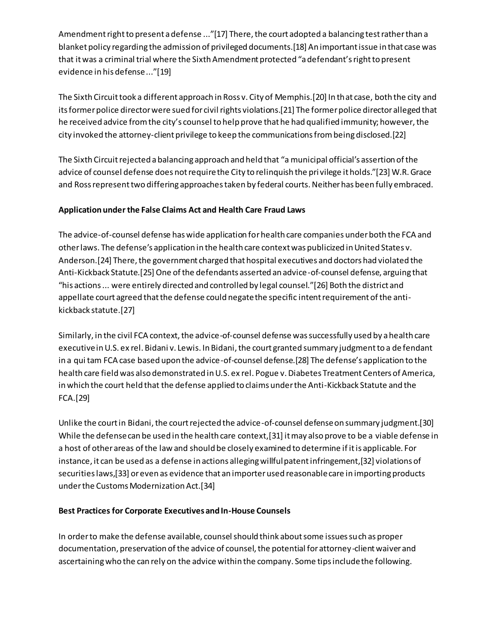Amendment right to present a defense ..."[17] There, the court adopted a balancing test rather than a blanket policy regarding the admission of privileged documents.[18] An important issue in that case was that it was a criminal trial where the Sixth Amendment protected "a defendant's right to present evidence in his defense ..."[19]

The Sixth Circuit took a different approach in Ross v. City of Memphis.[20] In that case, both the city and its former police director were sued for civil rights violations.[21] The former police director alleged that he received advice from the city's counsel to help prove that he had qualified immunity; however, the city invoked the attorney-client privilege to keep the communications from being disclosed.[22]

The Sixth Circuit rejected a balancing approach and held that "a municipal official's assertion of the advice of counsel defense does not require the City to relinquish the privilege it holds."[23] W.R. Grace and Ross represent two differing approaches taken by federal courts. Neither has been fully embraced.

# **Application under the False Claims Act and Health Care Fraud Laws**

The advice-of-counsel defense has wide application for health care companies under both the FCA and other laws. The defense's application in the health care context was publicized in United States v. Anderson.[24] There, the government charged that hospital executives and doctors had violated the Anti-Kickback Statute.[25] One of the defendants asserted an advice-of-counsel defense, arguing that "his actions  $\ldots$  were entirely directed and controlled by legal counsel."[26] Both the district and appellate court agreed that the defense could negate the specific intent requirement of the antikickback statute.[27]

Similarly, in the civil FCA context, the advice-of-counsel defense was successfully used by a health care executive in U.S. ex rel. Bidani v. Lewis. In Bidani, the court granted summary judgment to a de fendant in a qui tam FCA case based upon the advice-of-counsel defense.[28] The defense's application to the health care field was also demonstrated in U.S. ex rel. Pogue v. Diabetes Treatment Centers of America, in which the court held that the defense applied to claims under the Anti-Kickback Statute and the FCA.[29]

Unlike the court in Bidani, the court rejected the advice-of-counsel defense on summary judgment.[30] While the defense can be used in the health care context,[31] it may also prove to be a viable defense in a host of other areas of the law and should be closely examined to determine if it is applicable. For instance, it can be used as a defense in actions alleging willful patent infringement,[32] violations of securities laws,[33] or even as evidence that an importer used reasonable care in importing products under the Customs Modernization Act.[34]

# **Best Practices for Corporate Executives and In-House Counsels**

In order to make the defense available, counsel should think about some issues such as proper documentation, preservation of the advice of counsel, the potential for attorney-client waiver and ascertaining who the can rely on the advice within the company. Some tips include the following.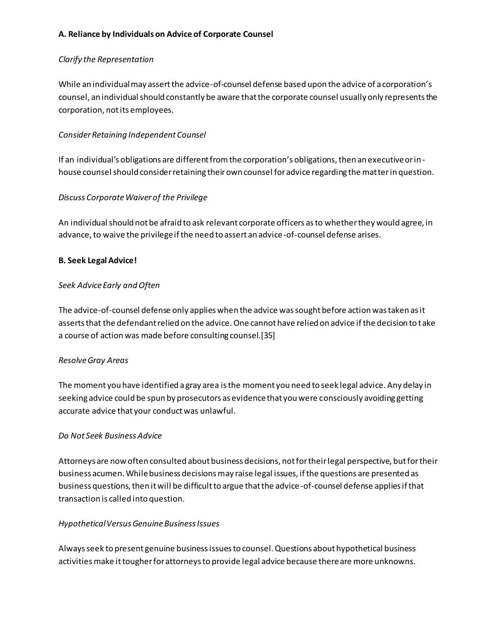## **A. Reliance by Individuals on Advice of Corporate Counsel**

## *Clarify the Representation*

While an individual may assert the advice-of-counsel defense based upon the advice of a corporation's counsel, an individual should constantly be aware that the corporate counsel usually only represents the corporation, not its employees.

# *Consider Retaining Independent Counsel*

If an individual's obligations are different from the corporation's obligations, then an executive or inhouse counsel should consider retaining their own counsel for advice regarding the matter in question.

# *Discuss Corporate Waiver of the Privilege*

An individual should not be afraid to ask relevant corporate officers as to whether they would agree, in advance, to waive the privilege if the need to assert an advice-of-counsel defense arises.

### **B. Seek Legal Advice!**

### *Seek Advice Early and Often*

The advice-of-counsel defense only applies when the advice was sought before action was taken as it asserts that the defendant relied on the advice. One cannot have relied on advice if the decision to take a course of action was made before consulting counsel.[35]

#### *Resolve Gray Areas*

The moment you have identified a gray area is the moment you need to seek legal advice. Any delay in seeking advice could be spun by prosecutors as evidence that you were consciously avoiding getting accurate advice that your conduct was unlawful.

#### *Do Not Seek Business Advice*

Attorneys are now often consulted about business decisions, not for their legal perspective, but for their business acumen. While business decisions may raise legal issues, if the questions are presented as business questions, then it will be difficult to argue that the advice-of-counsel defense applies if that transaction is called into question.

#### *Hypothetical Versus Genuine Business Issues*

Always seek to present genuine business issues to counsel. Questions about hypothetical business activities make it tougher for attorneys to provide legal advice because there are more unknowns.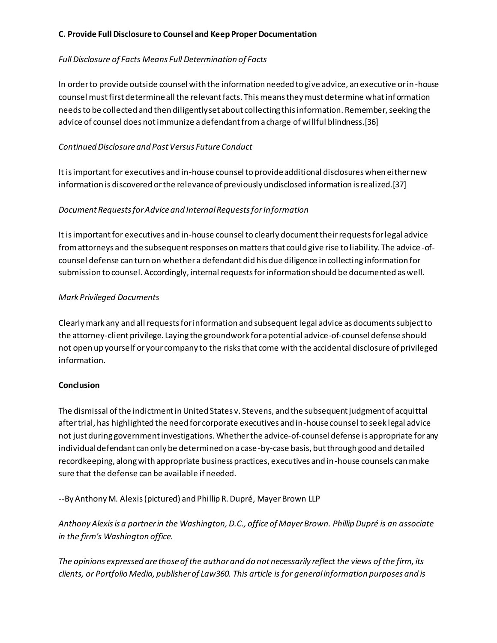# **C. Provide Full Disclosure to Counsel and Keep Proper Documentation**

# *Full Disclosure of Facts Means Full Determination of Facts*

In order to provide outside counsel with the information needed to give advice, an executive or in-house counsel must first determine all the relevant facts. This means they must determine what information needs to be collected and then diligently set about collecting this information. Remember, seeking the advice of counsel does not immunize a defendant from a charge of willful blindness.[36]

## *Continued Disclosure and Past Versus Future Conduct*

It is important for executives and in-house counsel to provide additional disclosures when either new information is discovered or the relevance of previously undisclosed information is realized.[37]

# *Document Requests for Advice and Internal Requests for Information*

It is important for executives and in-house counsel to clearly document their requests for legal advice from attorneys and the subsequent responses on matters that could give rise to liability. The advice -ofcounsel defense can turn on whether a defendant did his due diligence in collecting information for submission to counsel. Accordingly, internal requests for information should be documented as well.

#### *Mark Privileged Documents*

Clearly mark any and all requests for information and subsequent legal advice as documents subject to the attorney-client privilege. Laying the groundwork for a potential advice-of-counsel defense should not open up yourself or your company to the risks that come with the accidental disclosure of privileged information.

#### **Conclusion**

The dismissal of the indictment in United States v. Stevens, and the subsequent judgment of acquittal after trial, has highlighted the need for corporate executives and in-house counsel to seek legal advice not just during government investigations. Whether the advice-of-counsel defense is appropriate for any individual defendant can only be determined on a case-by-case basis, but through good and detailed recordkeeping, along with appropriate business practices, executives and in-house counsels can make sure that the defense can be available if needed.

--By Anthony M. Alexis (pictured) and Phillip R. Dupré, Mayer Brown LLP

*Anthony Alexisis a partner in the Washington, D.C., office of Mayer Brown. Phillip Dupré is an associate in the firm's Washington office.*

*The opinions expressed are those of the author and do not necessarily reflect the views of the firm, its clients, or Portfolio Media, publisher of Law360. This article is for general information purposes and is*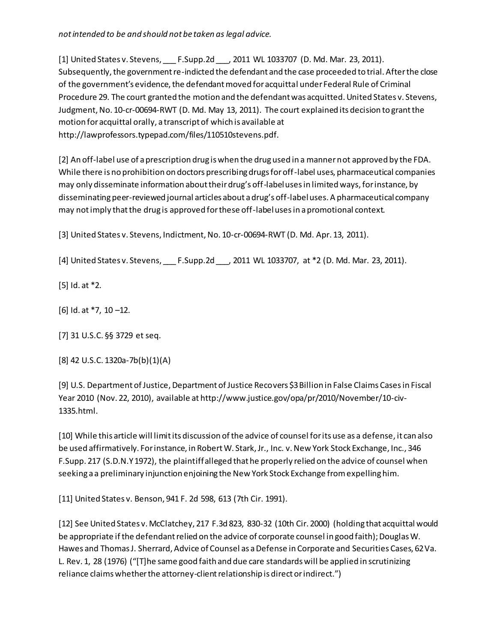*not intended to be and should not be taken as legal advice.*

[1] United States v. Stevens, F. Supp.2d \_\_\_, 2011 WL 1033707 (D. Md. Mar. 23, 2011). Subsequently, the government re-indicted the defendant and the case proceeded to trial. After the close of the government's evidence, the defendant moved for acquittal under Federal Rule of Criminal Procedure 29. The court granted the motion and the defendant was acquitted. United States v. Stevens, Judgment, No. 10-cr-00694-RWT (D. Md. May 13, 2011). The court explained its decision to grant the motion for acquittal orally, a transcript of which is available at http://lawprofessors.typepad.com/files/110510stevens.pdf.

[2] An off-label use of a prescription drug is when the drug used in a manner not approved by the FDA. While there is no prohibition on doctors prescribing drugs for off-label uses, pharmaceutical companies may only disseminate information about their drug's off-label uses in limited ways, for instance, by disseminating peer-reviewed journal articles about a drug's off-label uses. A pharmaceutical company may not imply that the drug is approved for these off-label uses in a promotional context.

[3] United States v. Stevens, Indictment, No. 10-cr-00694-RWT (D. Md. Apr. 13, 2011).

[4] United States v. Stevens, F. Supp.2d , 2011 WL 1033707, at \*2 (D. Md. Mar. 23, 2011).

[5] Id. at \*2.

 $[6]$  Id. at  $*7$ , 10 -12.

[7] 31 U.S.C. §§ 3729 et seq.

[8] 42 U.S.C. 1320a-7b(b)(1)(A)

[9] U.S. Department of Justice, Department of Justice Recovers \$3 Billion in False Claims Cases in Fiscal Year 2010 (Nov. 22, 2010), available at http://www.justice.gov/opa/pr/2010/November/10-civ-1335.html.

[10] While this article will limit its discussion of the advice of counsel for its use as a defense, it can also be used affirmatively. For instance, in Robert W. Stark, Jr., Inc. v. New York Stock Exchange, Inc., 346 F.Supp. 217 (S.D.N.Y 1972), the plaintiff alleged that he properly relied on the advice of counsel when seeking a a preliminary injunction enjoining the New York Stock Exchange from expelling him.

[11] United States v. Benson, 941 F. 2d 598, 613 (7th Cir. 1991).

[12] See United States v. McClatchey, 217 F.3d 823, 830-32 (10th Cir. 2000) (holding that acquittal would be appropriate if the defendant relied on the advice of corporate counsel in good faith); Douglas W. Hawes and Thomas J. Sherrard, Advice of Counsel as a Defense in Corporate and Securities Cases, 62 Va. L. Rev. 1, 28 (1976) ("[T]he same good faith and due care standards will be applied in scrutinizing reliance claims whether the attorney-client relationship is direct or indirect.")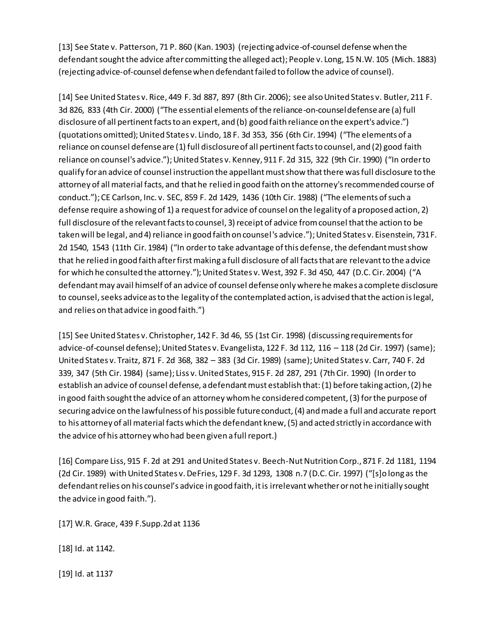[13] See State v. Patterson, 71 P. 860 (Kan. 1903) (rejecting advice-of-counsel defense when the defendant sought the advice after committing the alleged act); People v. Long, 15 N.W. 105 (Mich. 1883) (rejecting advice-of-counsel defense when defendant failed to follow the advice of counsel).

[14] See United States v. Rice, 449 F. 3d 887, 897 (8th Cir. 2006); see also United States v. Butler, 211 F. 3d 826, 833 (4th Cir. 2000) ("The essential elements of the reliance-on-counsel defense are (a) full disclosure of all pertinent facts to an expert, and (b) good faith reliance on the expert's advice.") (quotations omitted); United States v. Lindo, 18 F. 3d 353, 356 (6th Cir. 1994) ("The elements of a reliance on counsel defense are (1) full disclosure of all pertinent facts to counsel, and (2) good faith reliance on counsel's advice."); United States v. Kenney, 911 F. 2d 315, 322 (9th Cir. 1990) ("In order to qualify for an advice of counsel instruction the appellant must show that there was full disclosure to the attorney of all material facts, and that he relied in good faith on the attorney's recommended course of conduct."); CE Carlson, Inc. v. SEC, 859 F. 2d 1429, 1436 (10th Cir. 1988) ("The elements of such a defense require a showing of 1) a request for advice of counsel on the legality of a proposed action, 2) full disclosure of the relevant facts to counsel, 3) receipt of advice from counsel that the action to be taken will be legal, and 4) reliance in good faith on counsel's advice."); United States v. Eisenstein, 731 F. 2d 1540, 1543 (11th Cir. 1984) ("In order to take advantage of this defense, the defendant must show that he relied in good faith after first making a full disclosure of all facts that are relevant to the advice for which he consulted the attorney."); United States v. West, 392 F. 3d 450, 447 (D.C. Cir. 2004) ("A defendant may avail himself of an advice of counsel defense only where he makes a complete disclosure to counsel, seeks advice as to the legality of the contemplated action, is advised that the action is legal, and relies on that advice in good faith.")

[15] See United States v. Christopher, 142 F. 3d 46, 55 (1st Cir. 1998) (discussing requirements for advice-of-counsel defense); United States v. Evangelista, 122 F. 3d 112, 116 – 118 (2d Cir. 1997) (same); United States v. Traitz, 871 F. 2d 368, 382 – 383 (3d Cir. 1989) (same); United States v. Carr, 740 F. 2d 339, 347 (5th Cir. 1984) (same); Liss v. United States, 915 F. 2d 287, 291 (7th Cir. 1990) (In order to establish an advice of counsel defense, a defendant must establish that: (1) before taking action, (2) he in good faith sought the advice of an attorney whom he considered competent, (3) for the purpose of securing advice on the lawfulness of his possible future conduct, (4) and made a full and accurate report to his attorney of all material facts which the defendant knew, (5) and acted strictly in accordance with the advice of his attorney who had been given a full report.)

[16] Compare Liss, 915 F. 2d at 291 and United States v. Beech-Nut Nutrition Corp., 871 F. 2d 1181, 1194 (2d Cir. 1989) with United States v. DeFries, 129 F. 3d 1293, 1308 n.7 (D.C. Cir. 1997) ("[s]o long as the defendant relies on his counsel's advice in good faith, it is irrelevant whether or not he initially sought the advice in good faith.").

[17] W.R. Grace, 439 F.Supp.2d at 1136

[18] Id. at 1142.

[19] Id. at 1137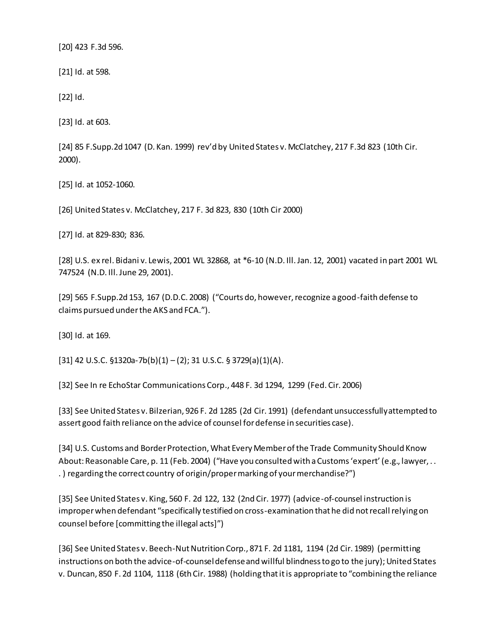[20] 423 F.3d 596.

[21] Id. at 598.

[22] Id.

[23] Id. at 603.

[24] 85 F.Supp.2d 1047 (D. Kan. 1999) rev'd by United States v. McClatchey, 217 F.3d 823 (10th Cir. 2000).

[25] Id. at 1052-1060.

[26] United States v. McClatchey, 217 F. 3d 823, 830 (10th Cir 2000)

[27] Id. at 829-830; 836.

[28] U.S. ex rel. Bidani v. Lewis, 2001 WL 32868, at \*6-10 (N.D. Ill. Jan. 12, 2001) vacated in part 2001 WL 747524 (N.D. Ill. June 29, 2001).

[29] 565 F.Supp.2d 153, 167 (D.D.C. 2008) ("Courts do, however, recognize a good-faith defense to claims pursued under the AKS and FCA.").

[30] Id. at 169.

[31] 42 U.S.C.  $$1320a-7b(b)(1)-(2); 31 U.S.C.$   $$3729(a)(1)(A)$ .

[32] See In re EchoStar Communications Corp., 448 F. 3d 1294, 1299 (Fed. Cir. 2006)

[33] See United States v. Bilzerian, 926 F. 2d 1285 (2d Cir. 1991) (defendant unsuccessfully attempted to assert good faith reliance on the advice of counsel for defense in securities case).

[34] U.S. Customs and Border Protection, What Every Member of the Trade Community Should Know About: Reasonable Care, p. 11 (Feb. 2004) ("Have you consulted with a Customs 'expert' (e.g., lawyer, . . . ) regarding the correct country of origin/proper marking of your merchandise?")

[35] See United States v. King, 560 F. 2d 122, 132 (2nd Cir. 1977) (advice-of-counsel instruction is improper when defendant "specifically testified on cross-examination that he did not recall relying on counsel before [committing the illegal acts]")

[36] See United States v. Beech-Nut Nutrition Corp., 871 F. 2d 1181, 1194 (2d Cir. 1989) (permitting instructions on both the advice-of-counsel defense and willful blindness to go to the jury); United States v. Duncan, 850 F. 2d 1104, 1118 (6th Cir. 1988) (holding that it is appropriate to "combining the reliance